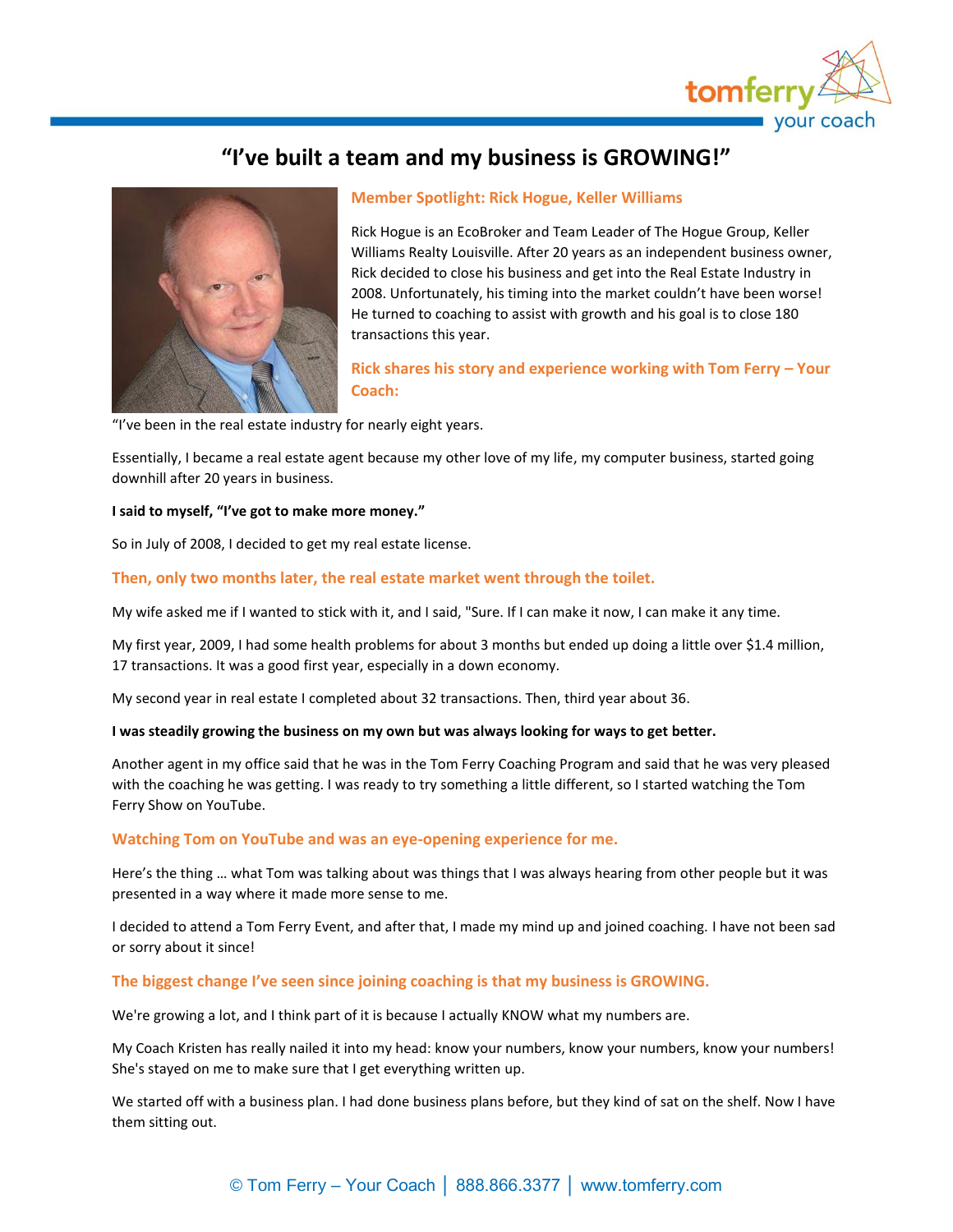

# **"I've built a team and my business is GROWING!"**



# **Member Spotlight: Rick Hogue, Keller Williams**

Rick Hogue is an EcoBroker and Team Leader of The Hogue Group, Keller Williams Realty Louisville. After 20 years as an independent business owner, Rick decided to close his business and get into the Real Estate Industry in 2008. Unfortunately, his timing into the market couldn't have been worse! He turned to coaching to assist with growth and his goal is to close 180 transactions this year.

**Rick shares his story and experience working with Tom Ferry – Your Coach:**

"I've been in the real estate industry for nearly eight years.

Essentially, I became a real estate agent because my other love of my life, my computer business, started going downhill after 20 years in business.

#### **I said to myself, "I've got to make more money."**

So in July of 2008, I decided to get my real estate license.

# **Then, only two months later, the real estate market went through the toilet.**

My wife asked me if I wanted to stick with it, and I said, "Sure. If I can make it now, I can make it any time.

My first year, 2009, I had some health problems for about 3 months but ended up doing a little over \$1.4 million, 17 transactions. It was a good first year, especially in a down economy.

My second year in real estate I completed about 32 transactions. Then, third year about 36.

#### **I was steadily growing the business on my own but was always looking for ways to get better.**

Another agent in my office said that he was in the Tom Ferry Coaching Program and said that he was very pleased with the coaching he was getting. I was ready to try something a little different, so I started watching the Tom Ferry Show on YouTube.

#### **Watching Tom on YouTube and was an eye-opening experience for me.**

Here's the thing … what Tom was talking about was things that I was always hearing from other people but it was presented in a way where it made more sense to me.

I decided to attend a Tom Ferry Event, and after that, I made my mind up and joined coaching. I have not been sad or sorry about it since!

#### **The biggest change I've seen since joining coaching is that my business is GROWING.**

We're growing a lot, and I think part of it is because I actually KNOW what my numbers are.

My Coach Kristen has really nailed it into my head: know your numbers, know your numbers, know your numbers! She's stayed on me to make sure that I get everything written up.

We started off with a business plan. I had done business plans before, but they kind of sat on the shelf. Now I have them sitting out.